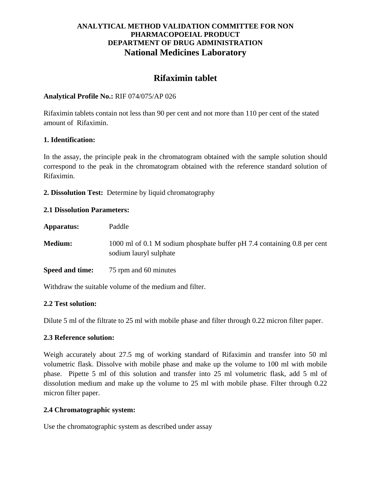# **ANALYTICAL METHOD VALIDATION COMMITTEE FOR NON PHARMACOPOEIAL PRODUCT DEPARTMENT OF DRUG ADMINISTRATION National Medicines Laboratory**

# **Rifaximin tablet**

## **Analytical Profile No.:** RIF 074/075/AP 026

Rifaximin tablets contain not less than 90 per cent and not more than 110 per cent of the stated amount of Rifaximin.

#### **1. Identification:**

In the assay, the principle peak in the chromatogram obtained with the sample solution should correspond to the peak in the chromatogram obtained with the reference standard solution of Rifaximin.

**2. Dissolution Test:** Determine by liquid chromatography

#### **2.1 Dissolution Parameters:**

| Apparatus:      | Paddle                                                                                            |
|-----------------|---------------------------------------------------------------------------------------------------|
| <b>Medium:</b>  | 1000 ml of 0.1 M sodium phosphate buffer pH 7.4 containing 0.8 per cent<br>sodium lauryl sulphate |
| Speed and time: | 75 rpm and 60 minutes                                                                             |

Withdraw the suitable volume of the medium and filter.

#### **2.2 Test solution:**

Dilute 5 ml of the filtrate to 25 ml with mobile phase and filter through 0.22 micron filter paper.

#### **2.3 Reference solution:**

Weigh accurately about 27.5 mg of working standard of Rifaximin and transfer into 50 ml volumetric flask. Dissolve with mobile phase and make up the volume to 100 ml with mobile phase. Pipette 5 ml of this solution and transfer into 25 ml volumetric flask, add 5 ml of dissolution medium and make up the volume to 25 ml with mobile phase. Filter through 0.22 micron filter paper.

## **2.4 Chromatographic system:**

Use the chromatographic system as described under assay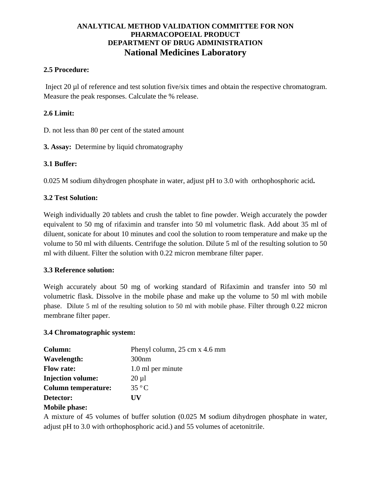# **ANALYTICAL METHOD VALIDATION COMMITTEE FOR NON PHARMACOPOEIAL PRODUCT DEPARTMENT OF DRUG ADMINISTRATION National Medicines Laboratory**

## **2.5 Procedure:**

Inject 20 µl of reference and test solution five/six times and obtain the respective chromatogram. Measure the peak responses. Calculate the % release.

## **2.6 Limit:**

D. not less than 80 per cent of the stated amount

**3. Assay:** Determine by liquid chromatography

#### **3.1 Buffer:**

0.025 M sodium dihydrogen phosphate in water, adjust pH to 3.0 with orthophosphoric acid**.**

#### **3.2 Test Solution:**

Weigh individually 20 tablets and crush the tablet to fine powder. Weigh accurately the powder equivalent to 50 mg of rifaximin and transfer into 50 ml volumetric flask. Add about 35 ml of diluent, sonicate for about 10 minutes and cool the solution to room temperature and make up the volume to 50 ml with diluents. Centrifuge the solution. Dilute 5 ml of the resulting solution to 50 ml with diluent. Filter the solution with 0.22 micron membrane filter paper.

#### **3.3 Reference solution:**

Weigh accurately about 50 mg of working standard of Rifaximin and transfer into 50 ml volumetric flask. Dissolve in the mobile phase and make up the volume to 50 ml with mobile phase. Dilute 5 ml of the resulting solution to 50 ml with mobile phase. Filter through 0.22 micron membrane filter paper.

#### **3.4 Chromatographic system:**

| Column:                    | Phenyl column, 25 cm x 4.6 mm |
|----------------------------|-------------------------------|
| Wavelength:                | 300nm                         |
| <b>Flow rate:</b>          | 1.0 ml per minute             |
| <b>Injection volume:</b>   | $20 \mu l$                    |
| <b>Column temperature:</b> | $35\,^{\circ}$ C              |
| Detector:                  | ĦV                            |
| <b>Britishers</b>          |                               |

#### **Mobile phase:**

A mixture of 45 volumes of buffer solution (0.025 M sodium dihydrogen phosphate in water, adjust pH to 3.0 with orthophosphoric acid.) and 55 volumes of acetonitrile.